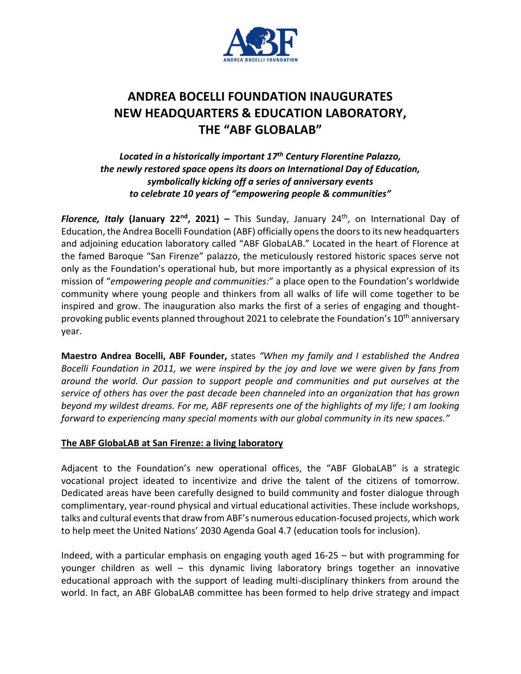

# **ANDREA BOCELLI FOUNDATION INAUGURATES NEW HEADQUARTERS & EDUCATION LABORATORY, THE "ABF GLOBALAB"**

*Located in a historically important 17 th Century Florentine Palazzo, the newly restored space opens its doors on International Day of Education, symbolically kicking off a series of anniversary events to celebrate 10 years of "empowering people & communities"*

*Florence, Italy* **(January 22nd, 2021) –** This Sunday, January 24th, on International Day of Education, the Andrea Bocelli Foundation (ABF) officially opens the doors to its new headquarters and adjoining education laboratory called "ABF GlobaLAB." Located in the heart of Florence at the famed Baroque "San Firenze" palazzo, the meticulously restored historic spaces serve not only as the Foundation's operational hub, but more importantly as a physical expression of its mission of "*empowering people and communities:*" a place open to the Foundation's worldwide community where young people and thinkers from all walks of life will come together to be inspired and grow. The inauguration also marks the first of a series of engaging and thoughtprovoking public events planned throughout 2021 to celebrate the Foundation's 10<sup>th</sup> anniversary year.

**Maestro Andrea Bocelli, ABF Founder,** states *"When my family and I established the Andrea Bocelli Foundation in 2011, we were inspired by the joy and love we were given by fans from around the world. Our passion to support people and communities and put ourselves at the service of others has over the past decade been channeled into an organization that has grown beyond my wildest dreams. For me, ABF represents one of the highlights of my life; I am looking forward to experiencing many special moments with our global community in its new spaces."*

## **The ABF GlobaLAB at San Firenze: a living laboratory**

Adjacent to the Foundation's new operational offices, the "ABF GlobaLAB" is a strategic vocational project ideated to incentivize and drive the talent of the citizens of tomorrow. Dedicated areas have been carefully designed to build community and foster dialogue through complimentary, year-round physical and virtual educational activities. These include workshops, talks and cultural eventsthat draw from ABF's numerous education-focused projects, which work to help meet the United Nations' 2030 Agenda Goal 4.7 (education tools for inclusion).

Indeed, with a particular emphasis on engaging youth aged 16-25 – but with programming for younger children as well – this dynamic living laboratory brings together an innovative educational approach with the support of leading multi-disciplinary thinkers from around the world. In fact, an ABF GlobaLAB committee has been formed to help drive strategy and impact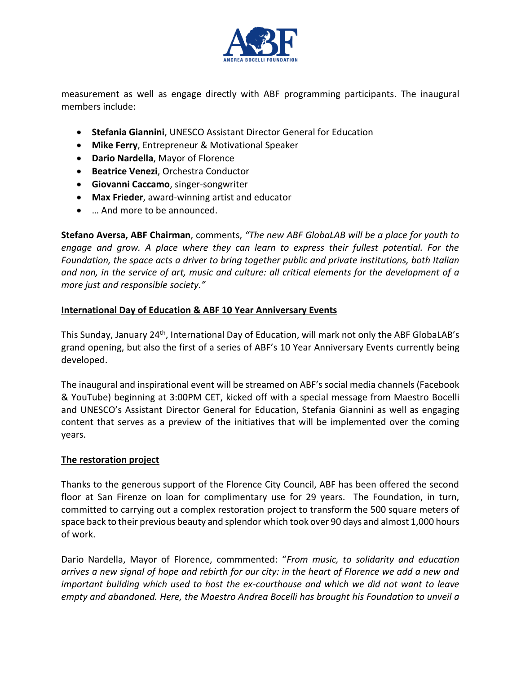

measurement as well as engage directly with ABF programming participants. The inaugural members include:

- **Stefania Giannini**, UNESCO Assistant Director General for Education
- **Mike Ferry**, Entrepreneur & Motivational Speaker
- **Dario Nardella**, Mayor of Florence
- **Beatrice Venezi**, Orchestra Conductor
- **Giovanni Caccamo**, singer-songwriter
- **Max Frieder**, award-winning artist and educator
- … And more to be announced.

**Stefano Aversa, ABF Chairman**, comments, *"The new ABF GlobaLAB will be a place for youth to engage and grow. A place where they can learn to express their fullest potential. For the Foundation, the space acts a driver to bring together public and private institutions, both Italian and non, in the service of art, music and culture: all critical elements for the development of a more just and responsible society."*

## **International Day of Education & ABF 10 Year Anniversary Events**

This Sunday, January 24<sup>th</sup>, International Day of Education, will mark not only the ABF GlobaLAB's grand opening, but also the first of a series of ABF's 10 Year Anniversary Events currently being developed.

The inaugural and inspirational event will be streamed on ABF's social media channels (Facebook & YouTube) beginning at 3:00PM CET, kicked off with a special message from Maestro Bocelli and UNESCO's Assistant Director General for Education, Stefania Giannini as well as engaging content that serves as a preview of the initiatives that will be implemented over the coming years.

## **The restoration project**

Thanks to the generous support of the Florence City Council, ABF has been offered the second floor at San Firenze on loan for complimentary use for 29 years. The Foundation, in turn, committed to carrying out a complex restoration project to transform the 500 square meters of space back to their previous beauty and splendor which took over 90 days and almost 1,000 hours of work.

Dario Nardella, Mayor of Florence, commmented: "*From music, to solidarity and education arrives a new signal of hope and rebirth for our city: in the heart of Florence we add a new and important building which used to host the ex-courthouse and which we did not want to leave empty and abandoned. Here, the Maestro Andrea Bocelli has brought his Foundation to unveil a*